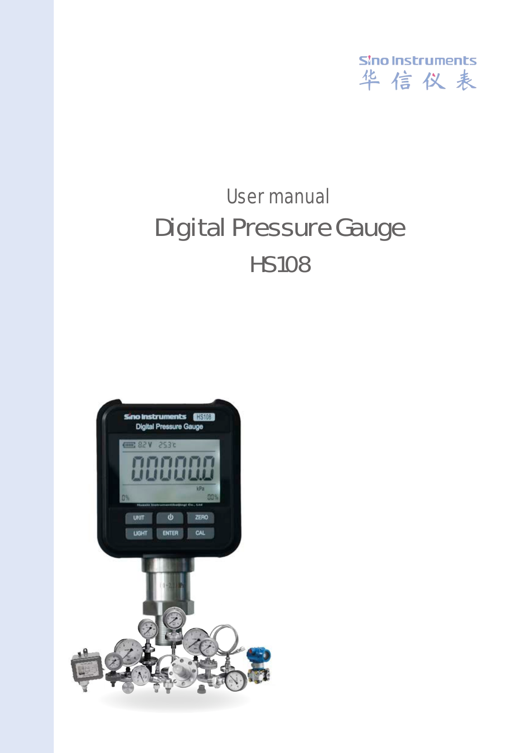

### User manual HS108 Digital Pressure Gauge

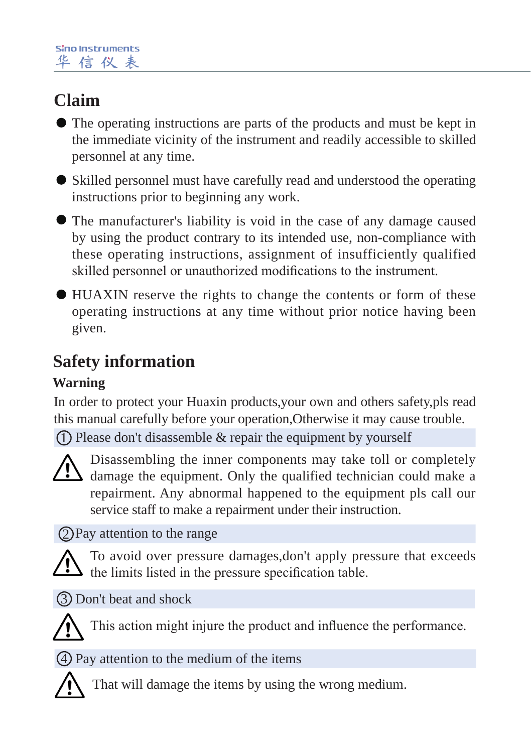### **Claim**

- The operating instructions are parts of the products and must be kept in the immediate vicinity of the instrument and readily accessible to skilled personnel at any time.
- Skilled personnel must have carefully read and understood the operating instructions prior to beginning any work.
- The manufacturer's liability is void in the case of any damage caused by using the product contrary to its intended use, non-compliance with these operating instructions, assignment of insufficiently qualified skilled personnel or unauthorized modifications to the instrument.
- HUAXIN reserve the rights to change the contents or form of these operating instructions at any time without prior notice having been given.

### **Safety information**

### **Warning**

In order to protect your Huaxin products,your own and others safety,pls read this manual carefully before your operation,Otherwise it may cause trouble.

 $\operatorname{D}$  Please don't disassemble  $\&$  repair the equipment by yourself



Disassembling the inner components may take toll or completely damage the equipment. Only the qualified technician could make a repairment. Any abnormal happened to the equipment pls call our service staff to make a repairment under their instruction.

Pay attention to the range 2



To avoid over pressure damages,don't apply pressure that exceeds  $\Delta$  the limits listed in the pressure specification table.

Don't beat and shock 3



This action might injure the product and influence the performance.

Pay attention to the medium of the items 4



That will damage the items by using the wrong medium.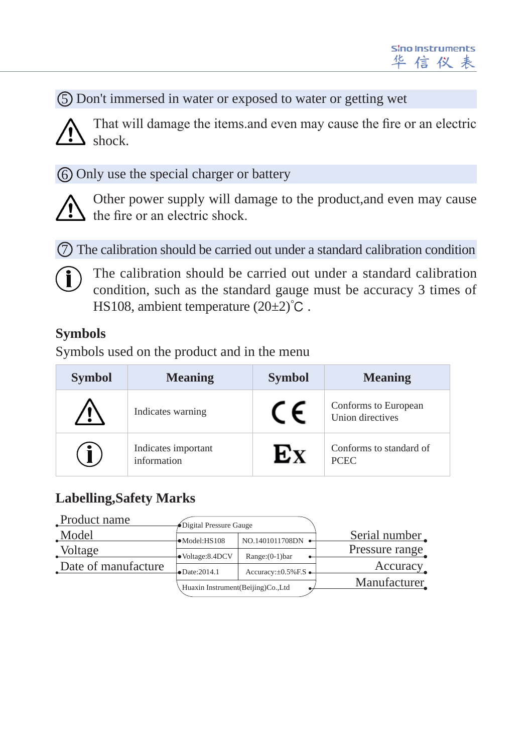Don't immersed in water or exposed to water or getting wet 5

That will damage the items.and even may cause the fire or an electric shock.

Only use the special charger or battery 6



Other power supply will damage to the product,and even may cause the fire or an electric shock.

The calibration should be carried out under a standard calibration condition 7



The calibration should be carried out under a standard calibration condition, such as the standard gauge must be accuracy 3 times of HS108, ambient temperature  $(20±2)$ °C.

### **Symbols**

Symbols used on the product and in the menu

| <b>Symbol</b> | <b>Meaning</b>                     | <b>Symbol</b> | <b>Meaning</b>                           |
|---------------|------------------------------------|---------------|------------------------------------------|
|               | Indicates warning                  | $\sqrt{2}$    | Conforms to European<br>Union directives |
|               | Indicates important<br>information |               | Conforms to standard of<br><b>PCEC</b>   |

### **Labelling,Safety Marks**

| Product name        | Digital Pressure Gauge            |                                     |                |
|---------------------|-----------------------------------|-------------------------------------|----------------|
| Model               | ·Model:HS108                      | $NO.1401011708DN$ $\rightarrow$     | Serial number  |
| Voltage             | · Voltage: 8.4DCV                 | $Range:(0-1)bar$                    | Pressure range |
| Date of manufacture |                                   |                                     | Accuracy       |
|                     | $-Date:2014.1$                    | Accuracy: $\pm 0.5\%$ F.S $\bullet$ | Manufacturer   |
|                     | Huaxin Instrument(Beijing)Co.,Ltd |                                     |                |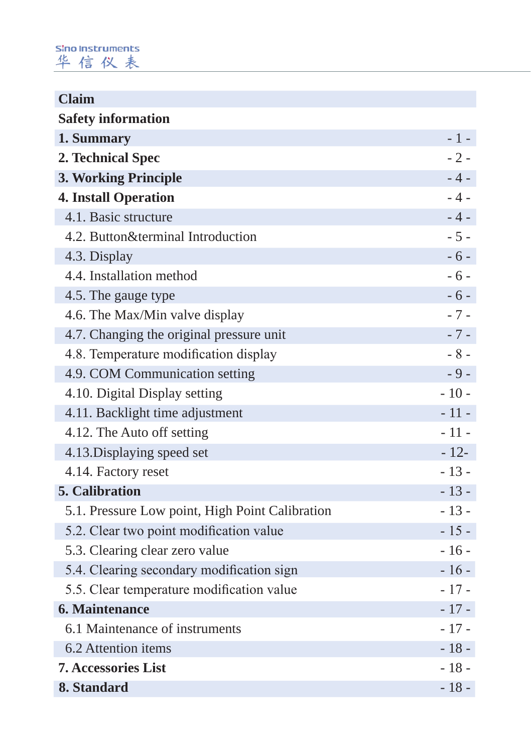#### Sino Instruments 华信仪表

| <b>Claim</b>                                    |        |  |  |  |  |  |  |
|-------------------------------------------------|--------|--|--|--|--|--|--|
| <b>Safety information</b>                       |        |  |  |  |  |  |  |
| 1. Summary                                      | $-1-$  |  |  |  |  |  |  |
| 2. Technical Spec                               |        |  |  |  |  |  |  |
| 3. Working Principle                            | $-4-$  |  |  |  |  |  |  |
| <b>4. Install Operation</b>                     | $-4-$  |  |  |  |  |  |  |
| 4.1. Basic structure                            | $-4-$  |  |  |  |  |  |  |
| 4.2. Button&terminal Introduction               | $-5-$  |  |  |  |  |  |  |
| 4.3. Display                                    | $-6-$  |  |  |  |  |  |  |
| 4.4. Installation method                        | $-6-$  |  |  |  |  |  |  |
| 4.5. The gauge type                             | $-6-$  |  |  |  |  |  |  |
| 4.6. The Max/Min valve display                  | $-7-$  |  |  |  |  |  |  |
| 4.7. Changing the original pressure unit        | $-7-$  |  |  |  |  |  |  |
| 4.8. Temperature modification display           | $-8-$  |  |  |  |  |  |  |
| 4.9. COM Communication setting                  | $-9-$  |  |  |  |  |  |  |
| 4.10. Digital Display setting                   | $-10-$ |  |  |  |  |  |  |
| 4.11. Backlight time adjustment                 | $-11-$ |  |  |  |  |  |  |
| 4.12. The Auto off setting                      | $-11-$ |  |  |  |  |  |  |
| 4.13. Displaying speed set                      | $-12-$ |  |  |  |  |  |  |
| 4.14. Factory reset                             | $-13-$ |  |  |  |  |  |  |
| <b>5. Calibration</b>                           | $-13-$ |  |  |  |  |  |  |
| 5.1. Pressure Low point, High Point Calibration | $-13-$ |  |  |  |  |  |  |
| 5.2. Clear two point modification value         | $-15-$ |  |  |  |  |  |  |
| 5.3. Clearing clear zero value                  | $-16-$ |  |  |  |  |  |  |
| 5.4. Clearing secondary modification sign       | $-16-$ |  |  |  |  |  |  |
| 5.5. Clear temperature modification value       | $-17-$ |  |  |  |  |  |  |
| 6. Maintenance                                  | $-17-$ |  |  |  |  |  |  |
| 6.1 Maintenance of instruments                  | $-17-$ |  |  |  |  |  |  |
| 6.2 Attention items                             | $-18-$ |  |  |  |  |  |  |
| <b>7. Accessories List</b>                      | $-18-$ |  |  |  |  |  |  |
| 8. Standard                                     | $-18-$ |  |  |  |  |  |  |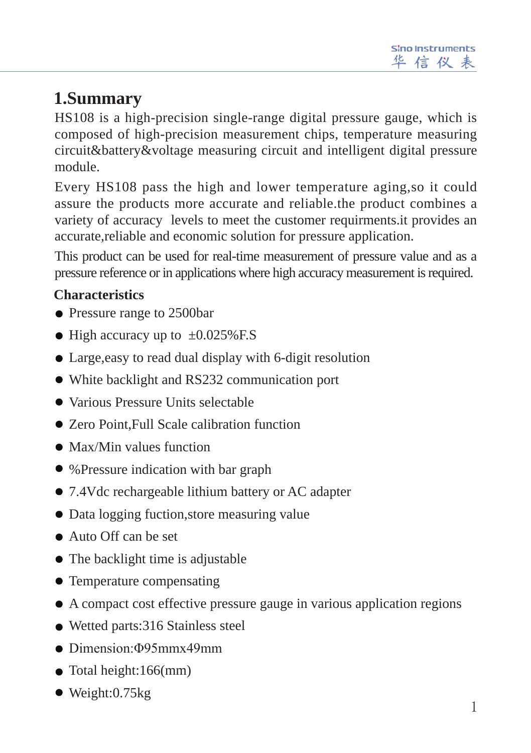### **1.Summary**

HS108 is a high-precision single-range digital pressure gauge, which is composed of high-precision measurement chips, temperature measuring circuit&battery&voltage measuring circuit and intelligent digital pressure module.

Every HS108 pass the high and lower temperature aging,so it could assure the products more accurate and reliable.the product combines a variety of accuracy levels to meet the customer requirments.it provides an accurate,reliable and economic solution for pressure application.

This product can be used for real-time measurement of pressure value and as a pressure reference or in applications where high accuracy measurement is required.

### **Characteristics**

- Pressure range to 2500bar
- $\bullet$  High accuracy up to  $\pm 0.025\%$  F.S
- Large,easy to read dual display with 6-digit resolution
- White backlight and RS232 communication port
- Various Pressure Units selectable
- Zero Point, Full Scale calibration function
- Max/Min values function
- %Pressure indication with bar graph
- 7.4Vdc rechargeable lithium battery or AC adapter
- Data logging fuction, store measuring value
- Auto Off can be set
- The backlight time is adjustable
- Temperature compensating
- A compact cost effective pressure gauge in various application regions
- Wetted parts:316 Stainless steel
- Dimension:Φ95mmx49mm
- Total height:166(mm)
- Weight:0.75kg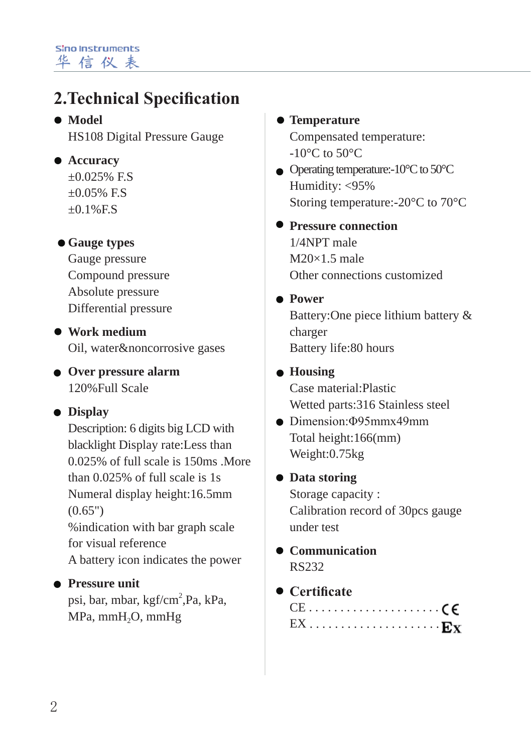### **2.Technical Specification**

 $\bullet$  Model HS108 Digital Pressure Gauge

- **Accuracy**
	- $\pm 0.025\%$  F.S  $+0.05\%$  F.S.  $+0.1\%$ F.S

### **Gauge types**

Gauge pressure Compound pressure Absolute pressure Differential pressure

**Work medium** Oil, water&noncorrosive gases

**Over pressure alarm**  120%Full Scale

### **Display**

Description: 6 digits big LCD with blacklight Display rate:Less than 0.025% of full scale is 150ms .More than 0.025% of full scale is 1s Numeral display height:16.5mm (0.65") %indication with bar graph scale for visual reference A battery icon indicates the power

#### **Pressure unit**

psi, bar, mbar, kgf/cm<sup>2</sup>,Pa, kPa, MPa, mmH<sub>2</sub>O, mmHg

### **Temperature**

Compensated temperature:  $-10^{\circ}$ C to 50 $^{\circ}$ C

 $\bullet$  Operating temperature:-10 $\degree$ C to 50 $\degree$ C Humidity: <95% Storing temperature:-20°C to 70°C

**Pressure connection** 1/4NPT male  $M20\times1.5$  male Other connections customized

#### **Power**

Battery:One piece lithium battery & charger Battery life:80 hours

#### **Housing**

Case material:Plastic Wetted parts:316 Stainless steel

 $\bullet$  Dimension: Φ95mmx49mm Total height:166(mm) Weight:0.75kg

#### **Data storing**

Storage capacity : Calibration record of 30pcs gauge under test

**Communication** RS232

### **Certificate**

|  |  |  |  |  |  |  |  |  |  |  | $\mathrm{EX} \ldots \ldots \ldots \ldots \ldots \ldots \ldots \mathrm{Ex}$ |
|--|--|--|--|--|--|--|--|--|--|--|----------------------------------------------------------------------------|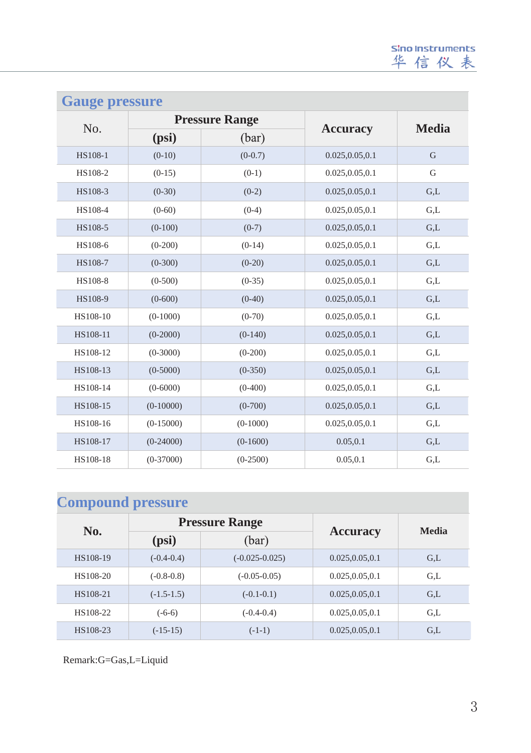| <b>Gauge pressure</b> |              |                       |                  |              |  |  |  |
|-----------------------|--------------|-----------------------|------------------|--------------|--|--|--|
|                       |              | <b>Pressure Range</b> |                  |              |  |  |  |
| No.                   | (psi)        | (bar)                 | <b>Accuracy</b>  | <b>Media</b> |  |  |  |
| HS108-1               | $(0-10)$     | $(0-0.7)$             | 0.025, 0.05, 0.1 | G            |  |  |  |
| HS108-2               | $(0-15)$     | $(0-1)$               | 0.025, 0.05, 0.1 | G            |  |  |  |
| HS108-3               | $(0-30)$     | $(0-2)$               | 0.025, 0.05, 0.1 | G,L          |  |  |  |
| HS108-4               | $(0-60)$     | $(0-4)$               | 0.025, 0.05, 0.1 | G.L          |  |  |  |
| HS108-5               | $(0-100)$    | $(0-7)$               | 0.025, 0.05, 0.1 | G,L          |  |  |  |
| HS108-6               | $(0-200)$    | $(0-14)$              | 0.025, 0.05, 0.1 | G,L          |  |  |  |
| HS108-7               | $(0-300)$    | $(0-20)$              | 0.025, 0.05, 0.1 | G.L          |  |  |  |
| HS108-8               | $(0-500)$    | $(0-35)$              | 0.025, 0.05, 0.1 | G,L          |  |  |  |
| HS108-9               | $(0-600)$    | $(0-40)$              | 0.025, 0.05, 0.1 | G,L          |  |  |  |
| HS108-10              | $(0-1000)$   | $(0-70)$              | 0.025, 0.05, 0.1 | G,L          |  |  |  |
| HS108-11              | $(0-2000)$   | $(0-140)$             | 0.025, 0.05, 0.1 | G,L          |  |  |  |
| HS108-12              | $(0-3000)$   | $(0-200)$             | 0.025, 0.05, 0.1 | G.L          |  |  |  |
| HS108-13              | $(0-5000)$   | $(0-350)$             | 0.025, 0.05, 0.1 | G.L          |  |  |  |
| HS108-14              | $(0 - 6000)$ | $(0-400)$             | 0.025, 0.05, 0.1 | G,L          |  |  |  |
| HS108-15              | $(0-10000)$  | $(0-700)$             | 0.025, 0.05, 0.1 | G,L          |  |  |  |
| HS108-16              | $(0-15000)$  | $(0-1000)$            | 0.025, 0.05, 0.1 | G.L          |  |  |  |
| HS108-17              | $(0-24000)$  | $(0-1600)$            | 0.05, 0.1        | G,L          |  |  |  |
| HS108-18              | $(0-37000)$  | $(0-2500)$            | 0.05, 0.1        | G,L          |  |  |  |

### **Compound pressure**

|          |              | <b>Pressure Range</b> |                  | Media |  |
|----------|--------------|-----------------------|------------------|-------|--|
| No.      | (psi)        | (bar)                 | <b>Accuracy</b>  |       |  |
| HS108-19 | $(-0.4-0.4)$ | $(-0.025 - 0.025)$    | 0.025, 0.05, 0.1 | G.L   |  |
| HS108-20 | $(-0.8-0.8)$ | $(-0.05-0.05)$        | 0.025, 0.05, 0.1 | G.L   |  |
| HS108-21 | $(-1.5-1.5)$ | $(-0.1-0.1)$          | 0.025, 0.05, 0.1 | GL    |  |
| HS108-22 | $(-6-6)$     | $(-0.4-0.4)$          | 0.025, 0.05, 0.1 | G.L   |  |
| HS108-23 | $(-15-15)$   | $(-1-1)$              | 0.025, 0.05, 0.1 | G.L   |  |

Remark:G=Gas,L=Liquid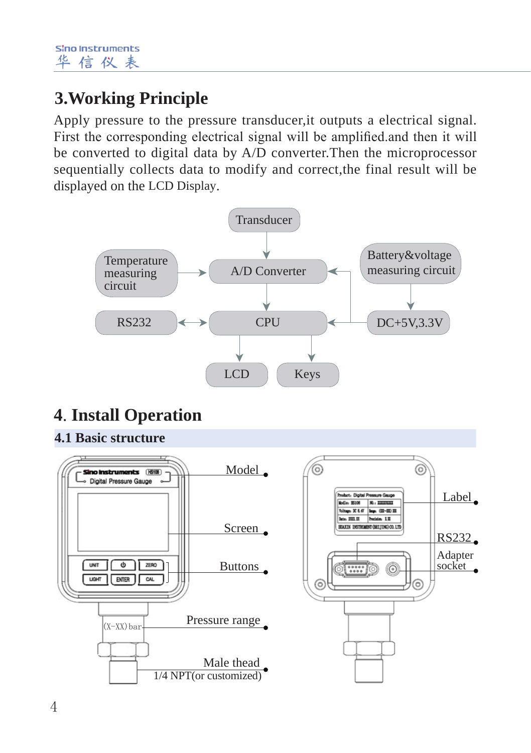### **3.Working Principle**

Apply pressure to the pressure transducer,it outputs a electrical signal. First the corresponding electrical signal will be amplified.and then it will be converted to digital data by A/D converter.Then the microprocessor sequentially collects data to modify and correct,the final result will be displayed on the LCD Display.



### **4**.**Install Operation**

**4.1 Basic structure**

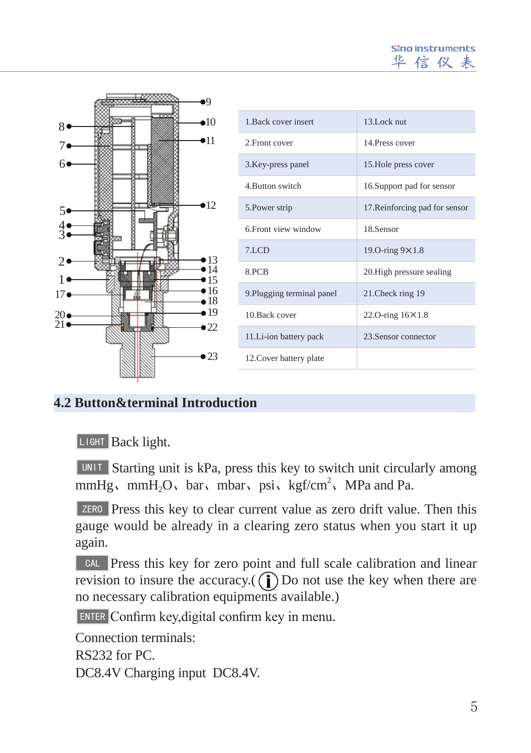**Sino Instruments** 信仪表



#### **4.2 Button&terminal Introduction**

LIGHT Back light.

**UNIT** Starting unit is kPa, press this key to switch unit circularly among mmHg, mmH<sub>2</sub>O, bar, mbar, psi, kgf/cm<sup>2</sup>, MPa and Pa.

**Press this key to clear current value as zero drift value. Then this** gauge would be already in a clearing zero status when you start it up again.

**Press this key for zero point and full scale calibration and linear** revision to insure the accuracy. $(\hat{\mathbf{I}})$  Do not use the key when there are no necessary calibration equipments available.)

Confirm key,digital confirm key in menu. ENTER

Connection terminals:

RS232 for PC.

DC8.4V Charging input DC8.4V.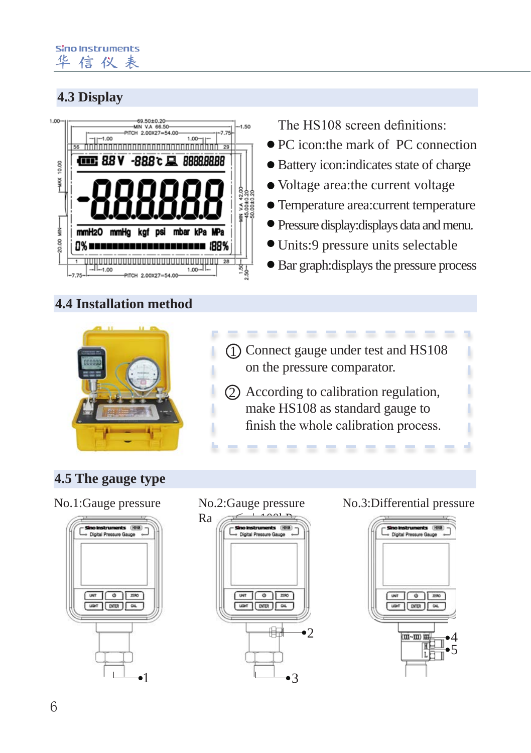### **4.3 Display**



### **4.4 Installation method**



The HS108 screen definitions:

- PC icon:the mark of PC connection
- Battery icon:indicates state of charge
- Voltage area:the current voltage
- Temperature area:current temperature
- Pressure display:displays data and menu.
- Units:9 pressure units selectable
- Bar graph:displays the pressure process
- 1 Connect gauge under test and HS108 on the pressure comparator.
- 2 According to calibration regulation, make HS108 as standard gauge to finish the whole calibration process.

------

### **4.5 The gauge type**

No.1:Gauge pressure No.2:Gauge pressure





#### No.3:Differential pressure

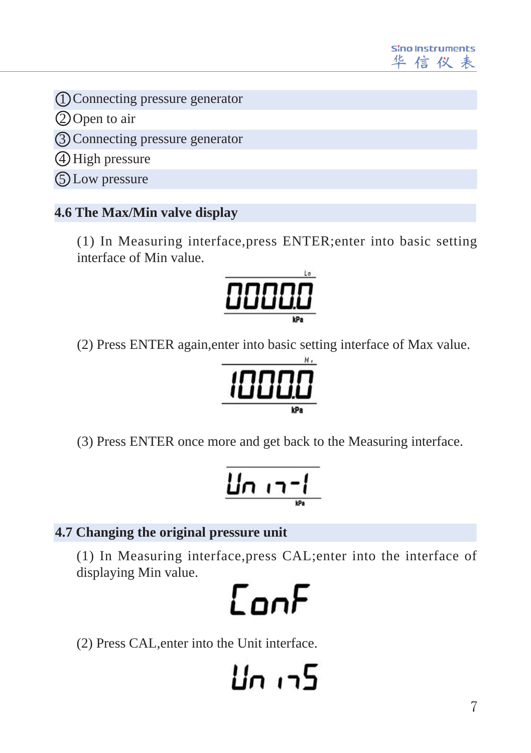

Connecting pressure generator 1

2)Open to air

Connecting pressure generator 3

4) High pressure

Low pressure 5

### **4.6 The Max/Min valve display**

(1) In Measuring interface,press ENTER;enter into basic setting interface of Min value.



(2) Press ENTER again,enter into basic setting interface of Max value.



(3) Press ENTER once more and get back to the Measuring interface.

$$
\underbrace{\prod_{\mathbf{p}}\prod_{\mathbf{p}}\prod_{\mathbf{p}}\prod_{\mathbf{p}}\mathbf{p}}_{\mathbf{p}}\left(\mathbf{p}\right)}_{\mathbf{p}}\left(\mathbf{p}\right)
$$

### **4.7 Changing the original pressure unit**

(1) In Measuring interface,press CAL;enter into the interface of displaying Min value.



(2) Press CAL,enter into the Unit interface.

5רו ח4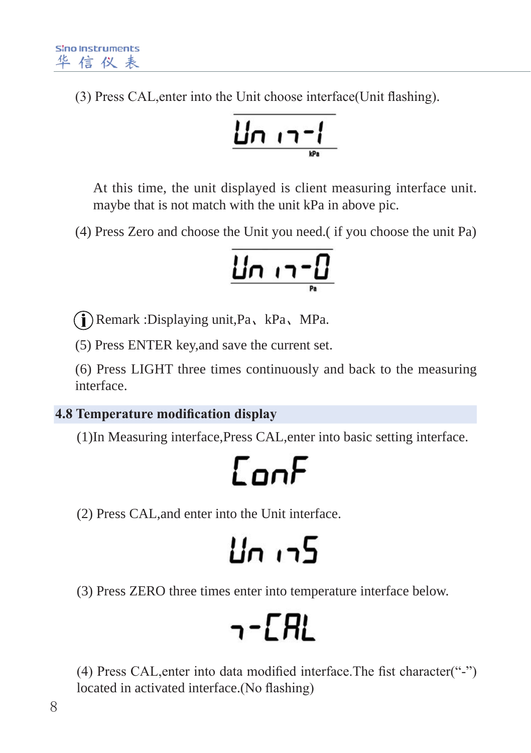(3) Press CAL,enter into the Unit choose interface(Unit flashing).

$$
\underbrace{\mathsf{LIn}\ \mathsf{m}\ \mathsf{m}}
$$

At this time, the unit displayed is client measuring interface unit. maybe that is not match with the unit kPa in above pic.

(4) Press Zero and choose the Unit you need.( if you choose the unit Pa)

$$
\underbrace{\Pi \cap \neg \neg \Box}
$$

Remark :Displaying unit,Pa、kPa、MPa.

(5) Press ENTER key,and save the current set.

(6) Press LIGHT three times continuously and back to the measuring interface.

### **4.8 Temperature modification display**

(1)In Measuring interface,Press CAL,enter into basic setting interface.

(2) Press CAL,and enter into the Unit interface.

### $\ln 15$

(3) Press ZERO three times enter into temperature interface below.

### 7-CAL

(4) Press CAL,enter into data modified interface.The fist character("-") located in activated interface.(No flashing)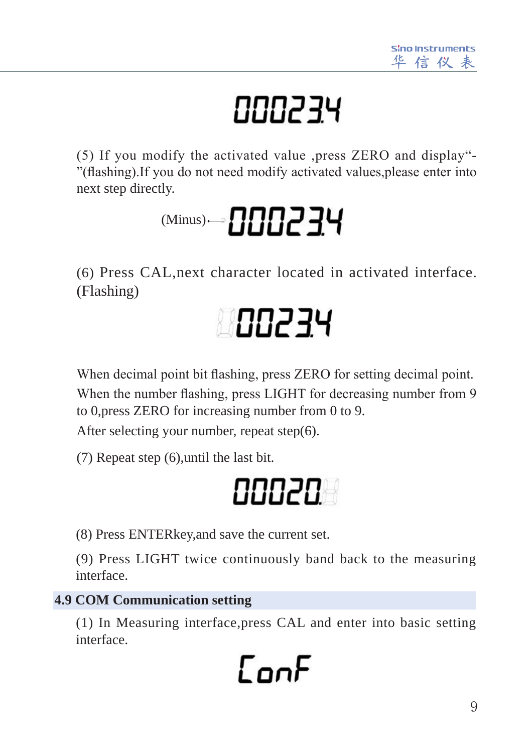## 000234

(5) If you modify the activated value ,press ZERO and display"- "(flashing).If you do not need modify activated values,please enter into next step directly.



(6) Press CAL,next character located in activated interface. (Flashing)



When decimal point bit flashing, press ZERO for setting decimal point. When the number flashing, press LIGHT for decreasing number from 9 to 0,press ZERO for increasing number from 0 to 9.

After selecting your number, repeat step(6).

(7) Repeat step (6),until the last bit.

### 88828

(8) Press ENTERkey,and save the current set.

(9) Press LIGHT twice continuously band back to the measuring interface.

### **4.9 COM Communication setting**

(1) In Measuring interface,press CAL and enter into basic setting interface.

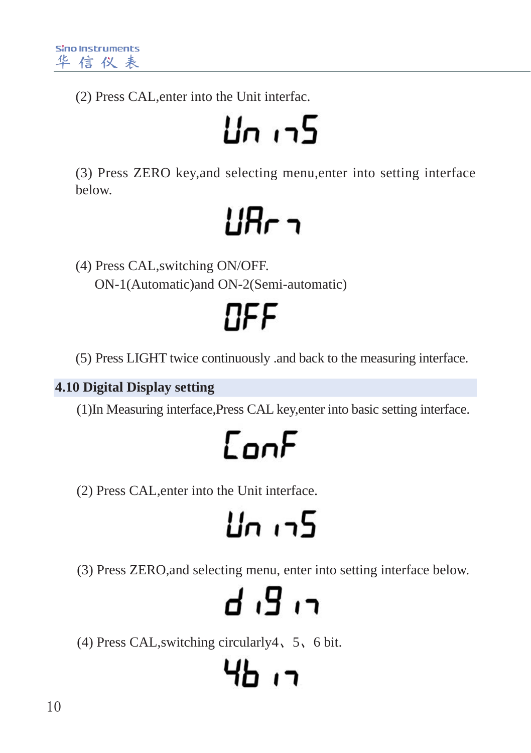(2) Press CAL,enter into the Unit interfac.

## 5כו ח

(3) Press ZERO key,and selecting menu,enter into setting interface below.

### **LIR<sub>C</sub> 7**

(4) Press CAL,switching ON/OFF. ON-1(Automatic)and ON-2(Semi-automatic)

NFF

(5) Press LIGHT twice continuously .and back to the measuring interface.

**4.10 Digital Display setting**

(1)In Measuring interface,Press CAL key,enter into basic setting interface.

### $\Gamma$ oo $F$

(2) Press CAL,enter into the Unit interface.

## 5רו חµ

(3) Press ZERO,and selecting menu, enter into setting interface below.

## רו 9ו ה

(4) Press CAL,switching circularly4、5、6 bit.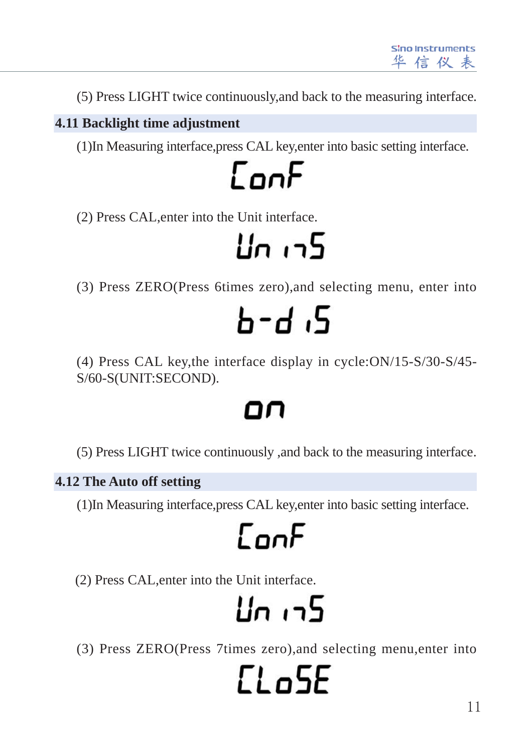(5) Press LIGHT twice continuously,and back to the measuring interface.

### **4.11 Backlight time adjustment**

(1)In Measuring interface,press CAL key,enter into basic setting interface.

CooF

(2) Press CAL,enter into the Unit interface.

5רו חµ

(3) Press ZERO(Press 6times zero),and selecting menu, enter into

## ե-ժ ։5

(4) Press CAL key,the interface display in cycle:ON/15-S/30-S/45- S/60-S(UNIT:SECOND).

### on

(5) Press LIGHT twice continuously ,and back to the measuring interface.

### **4.12 The Auto off setting**

(1)In Measuring interface,press CAL key,enter into basic setting interface.

### ConF

(2) Press CAL,enter into the Unit interface.

### 5רו ח4

(3) Press ZERO(Press 7times zero),and selecting menu,enter into

# $FL-5F$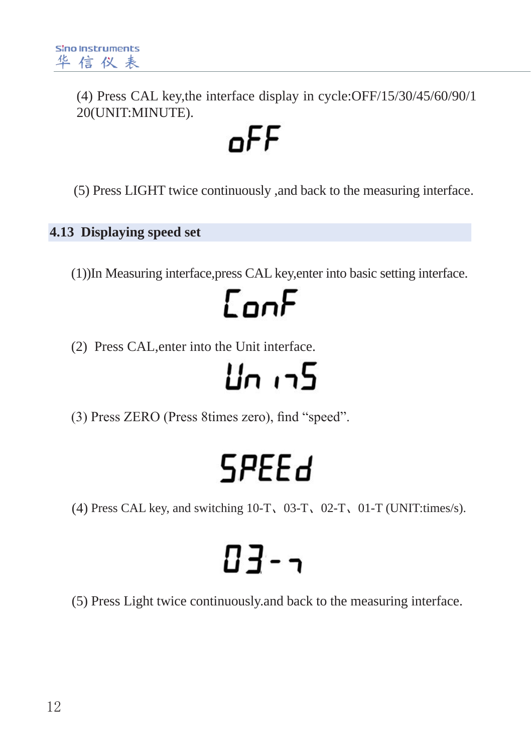(4) Press CAL key,the interface display in cycle:OFF/15/30/45/60/90/1 20(UNIT:MINUTE).

### oFF

(5) Press LIGHT twice continuously ,and back to the measuring interface.

### **4.13 Displaying speed set**

(1))In Measuring interface,press CAL key,enter into basic setting interface.

### $\Gamma$ on $F$

(2) Press CAL,enter into the Unit interface.

### 5רו חµ

(3) Press ZERO (Press 8times zero), find "speed".

### **SPEEd**

(4) Press CAL key, and switching 10-T、03-T、02-T、01-T (UNIT:times/s).

## $13 - 7$

(5) Press Light twice continuously.and back to the measuring interface.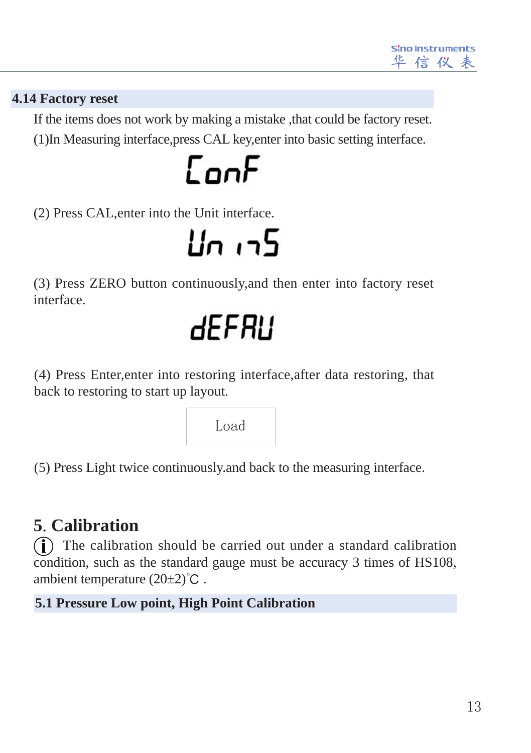

#### **4.14 Factory reset**

(1)In Measuring interface,press CAL key,enter into basic setting interface. If the items does not work by making a mistake ,that could be factory reset.

### EooF

(2) Press CAL,enter into the Unit interface.

5د، ملا

(3) Press ZERO button continuously,and then enter into factory reset interface.

### **dEFRU**

(4) Press Enter,enter into restoring interface,after data restoring, that back to restoring to start up layout.



(5) Press Light twice continuously.and back to the measuring interface.

### **5**.**Calibration**

 The calibration should be carried out under a standard calibration condition, such as the standard gauge must be accuracy 3 times of HS108, ambient temperature  $(20±2)$ °C.

#### **5.1 Pressure Low point, High Point Calibration**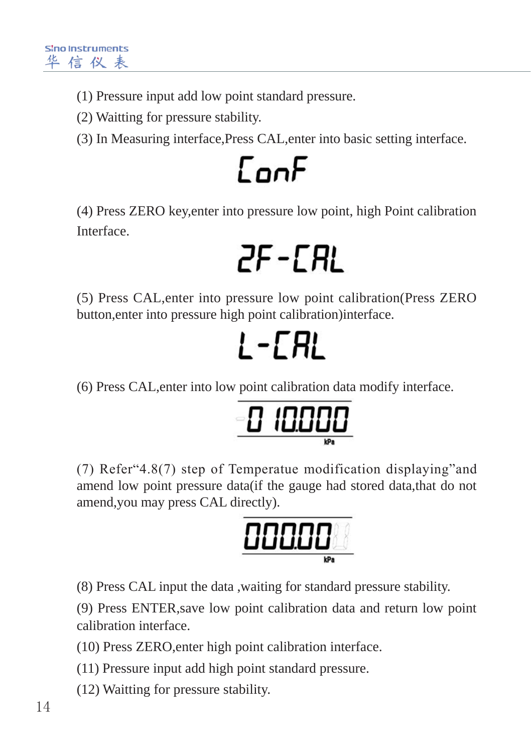- (1) Pressure input add low point standard pressure.
- (2) Waitting for pressure stability.

(3) In Measuring interface,Press CAL,enter into basic setting interface.

## $\Gamma$ nn $F$

(4) Press ZERO key,enter into pressure low point, high Point calibration Interface.

 $2F$  -  $CRL$ 

(5) Press CAL,enter into pressure low point calibration(Press ZERO button,enter into pressure high point calibration)interface.

$$
L - ERL
$$

(6) Press CAL,enter into low point calibration data modify interface.

| 100<br>Æ       |
|----------------|
| TL<br>ப<br>I L |
|                |

(7) Refer"4.8(7) step of Temperatue modification displaying"and amend low point pressure data(if the gauge had stored data,that do not amend,you may press CAL directly).

|        | 11 |
|--------|----|
| ┚<br>ш | ш  |
|        |    |

(8) Press CAL input the data ,waiting for standard pressure stability.

(9) Press ENTER,save low point calibration data and return low point calibration interface.

(10) Press ZERO,enter high point calibration interface.

(11) Pressure input add high point standard pressure.

(12) Waitting for pressure stability.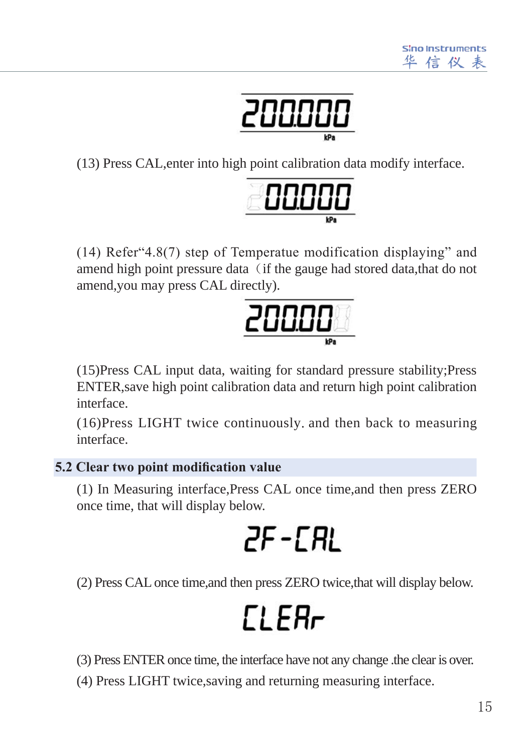

(13) Press CAL,enter into high point calibration data modify interface.



(14) Refer"4.8(7) step of Temperatue modification displaying" and amend high point pressure data (if the gauge had stored data,that do not amend,you may press CAL directly).



(15)Press CAL input data, waiting for standard pressure stability;Press ENTER,save high point calibration data and return high point calibration interface.

(16)Press LIGHT twice continuously.and then back to measuring interface.

### **5.2 Clear two point modification value**

(1) In Measuring interface,Press CAL once time,and then press ZERO once time, that will display below.

### 2F-CRL

(2) Press CAL once time,and then press ZERO twice,that will display below.

### **CLER<sub>r</sub>**

(3) Press ENTER once time, the interface have not any change .the clear is over.

(4) Press LIGHT twice,saving and returning measuring interface.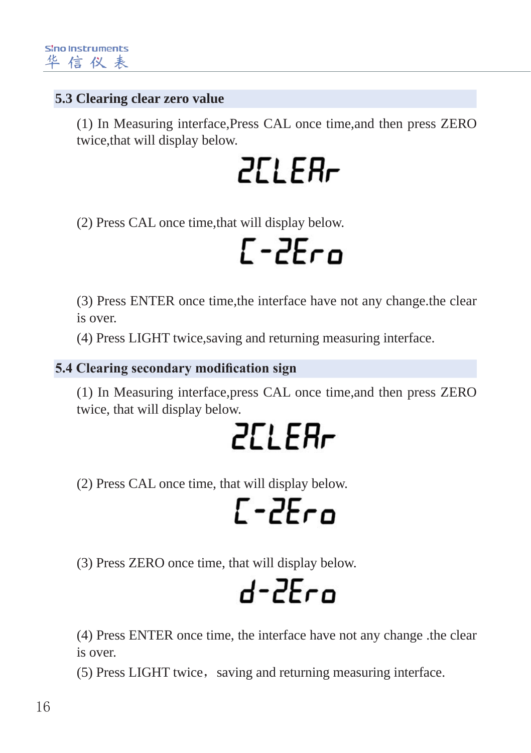#### **5.3 Clearing clear zero value**

(1) In Measuring interface,Press CAL once time,and then press ZERO twice,that will display below.

 $ZL$   $FR<sub>r</sub>$ 

(2) Press CAL once time,that will display below.

### $\Gamma$ -2 $\epsilon$ co

(3) Press ENTER once time,the interface have not any change.the clear is over.

(4) Press LIGHT twice,saving and returning measuring interface.

#### **5.4 Clearing secondary modification sign**

(1) In Measuring interface,press CAL once time,and then press ZERO twice, that will display below.

**2ELER<sub>r</sub>** 

(2) Press CAL once time, that will display below.

 $L - 2E$ co

(3) Press ZERO once time, that will display below.

 $d - 2F$ co

(4) Press ENTER once time, the interface have not any change .the clear is over.

(5) Press LIGHT twice, saving and returning measuring interface.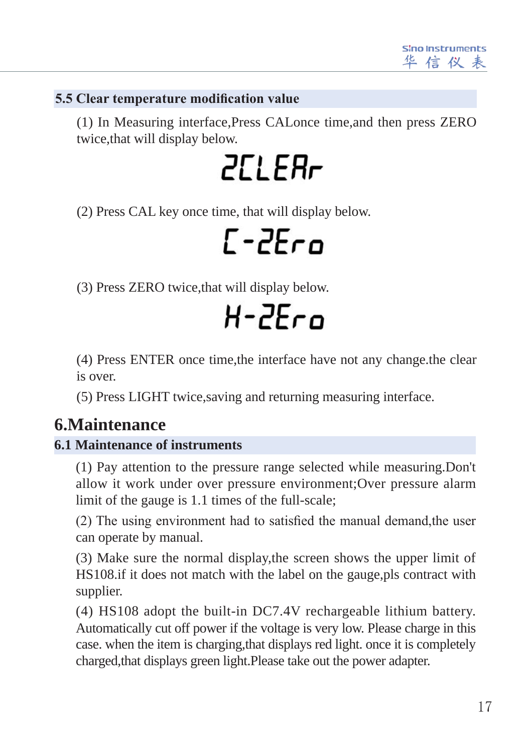#### **5.5 Clear temperature modification value**

(1) In Measuring interface,Press CALonce time,and then press ZERO twice,that will display below.

**2CLEBr** 

(2) Press CAL key once time, that will display below.

 $L - 2E$ ro

(3) Press ZERO twice,that will display below.

 $H - 2F - n$ 

(4) Press ENTER once time,the interface have not any change.the clear is over.

(5) Press LIGHT twice,saving and returning measuring interface.

### **6.Maintenance**

#### **6.1 Maintenance of instruments**

(1) Pay attention to the pressure range selected while measuring.Don't allow it work under over pressure environment;Over pressure alarm limit of the gauge is 1.1 times of the full-scale;

(2) The using environment had to satisfied the manual demand,the user can operate by manual.

(3) Make sure the normal display,the screen shows the upper limit of HS108.if it does not match with the label on the gauge,pls contract with supplier.

(4) HS108 adopt the built-in DC7.4V rechargeable lithium battery. Automatically cut off power if the voltage is very low. Please charge in this case. when the item is charging,that displays red light. once it is completely charged,that displays green light.Please take out the power adapter.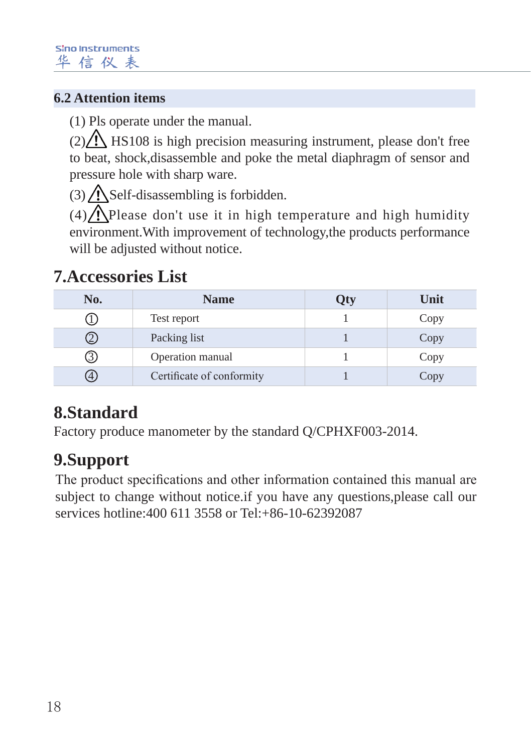### **6.2 Attention items**

(1) Pls operate under the manual.

 $(2)$  / HS108 is high precision measuring instrument, please don't free to beat, shock,disassemble and poke the metal diaphragm of sensor and pressure hole with sharp ware.

 $(3)$   $\bigwedge$  Self-disassembling is forbidden.

 $(4)$ . Please don't use it in high temperature and high humidity environment.With improvement of technology,the products performance will be adjusted without notice.

### **7.Accessories List**

| No. | <b>Name</b>               | <b>)ty</b> | Unit |
|-----|---------------------------|------------|------|
|     | Test report               |            | Copy |
|     | Packing list              |            | Copy |
| (3) | Operation manual          |            | Copy |
| (4) | Certificate of conformity |            | Copy |

### **8.Standard**

Factory produce manometer by the standard Q/CPHXF003-2014.

### **9.Support**

The product specifications and other information contained this manual are subject to change without notice.if you have any questions,please call our services hotline:400 611 3558 or Tel:+86-10-62392087